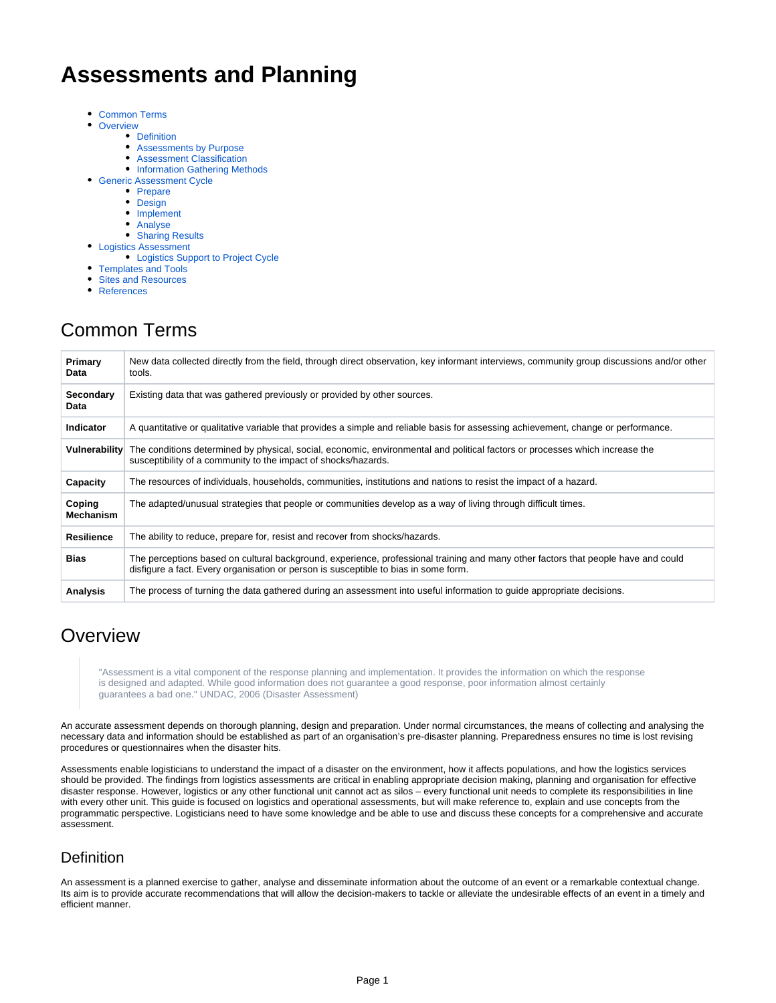# **Assessments and Planning**

- [Common Terms](#page-0-0)
- $\bullet$ **[Overview](#page-0-1)** 
	- [Definition](#page-0-2)
		- [Assessments by Purpose](#page-1-0)
		- [Assessment Classification](#page-1-1)
		- **[Information Gathering Methods](#page-3-0)**
- [Generic Assessment Cycle](#page-3-1)
	- [Prepare](#page-3-2)
	- [Design](#page-4-0)
	- [Implement](#page-4-1)
	- [Analyse](#page-4-2)
	- [Sharing Results](#page-4-3)
- [Logistics Assessment](#page-5-0)
	- [Logistics Support to Project Cycle](#page-5-1)
- $\bullet$ [Templates and Tools](#page-7-0)
- [Sites and Resources](#page-7-1)
- [References](#page-7-2)

# <span id="page-0-0"></span>Common Terms

| Primary<br>Data     | New data collected directly from the field, through direct observation, key informant interviews, community group discussions and/or other<br>tools.                                                                     |
|---------------------|--------------------------------------------------------------------------------------------------------------------------------------------------------------------------------------------------------------------------|
| Secondary<br>Data   | Existing data that was gathered previously or provided by other sources.                                                                                                                                                 |
| <b>Indicator</b>    | A quantitative or qualitative variable that provides a simple and reliable basis for assessing achievement, change or performance.                                                                                       |
| Vulnerability       | The conditions determined by physical, social, economic, environmental and political factors or processes which increase the<br>susceptibility of a community to the impact of shocks/hazards.                           |
| Capacity            | The resources of individuals, households, communities, institutions and nations to resist the impact of a hazard.                                                                                                        |
| Coping<br>Mechanism | The adapted/unusual strategies that people or communities develop as a way of living through difficult times.                                                                                                            |
| <b>Resilience</b>   | The ability to reduce, prepare for, resist and recover from shocks/hazards.                                                                                                                                              |
| <b>Bias</b>         | The perceptions based on cultural background, experience, professional training and many other factors that people have and could<br>disfigure a fact. Every organisation or person is susceptible to bias in some form. |
| Analysis            | The process of turning the data gathered during an assessment into useful information to guide appropriate decisions.                                                                                                    |

# <span id="page-0-1"></span>**Overview**

"Assessment is a vital component of the response planning and implementation. It provides the information on which the response is designed and adapted. While good information does not guarantee a good response, poor information almost certainly guarantees a bad one." UNDAC, 2006 (Disaster Assessment)

An accurate assessment depends on thorough planning, design and preparation. Under normal circumstances, the means of collecting and analysing the necessary data and information should be established as part of an organisation's pre-disaster planning. Preparedness ensures no time is lost revising procedures or questionnaires when the disaster hits.

Assessments enable logisticians to understand the impact of a disaster on the environment, how it affects populations, and how the logistics services should be provided. The findings from logistics assessments are critical in enabling appropriate decision making, planning and organisation for effective disaster response. However, logistics or any other functional unit cannot act as silos – every functional unit needs to complete its responsibilities in line with every other unit. This guide is focused on logistics and operational assessments, but will make reference to, explain and use concepts from the programmatic perspective. Logisticians need to have some knowledge and be able to use and discuss these concepts for a comprehensive and accurate assessment.

## <span id="page-0-2"></span>**Definition**

An assessment is a planned exercise to gather, analyse and disseminate information about the outcome of an event or a remarkable contextual change. Its aim is to provide accurate recommendations that will allow the decision-makers to tackle or alleviate the undesirable effects of an event in a timely and efficient manner.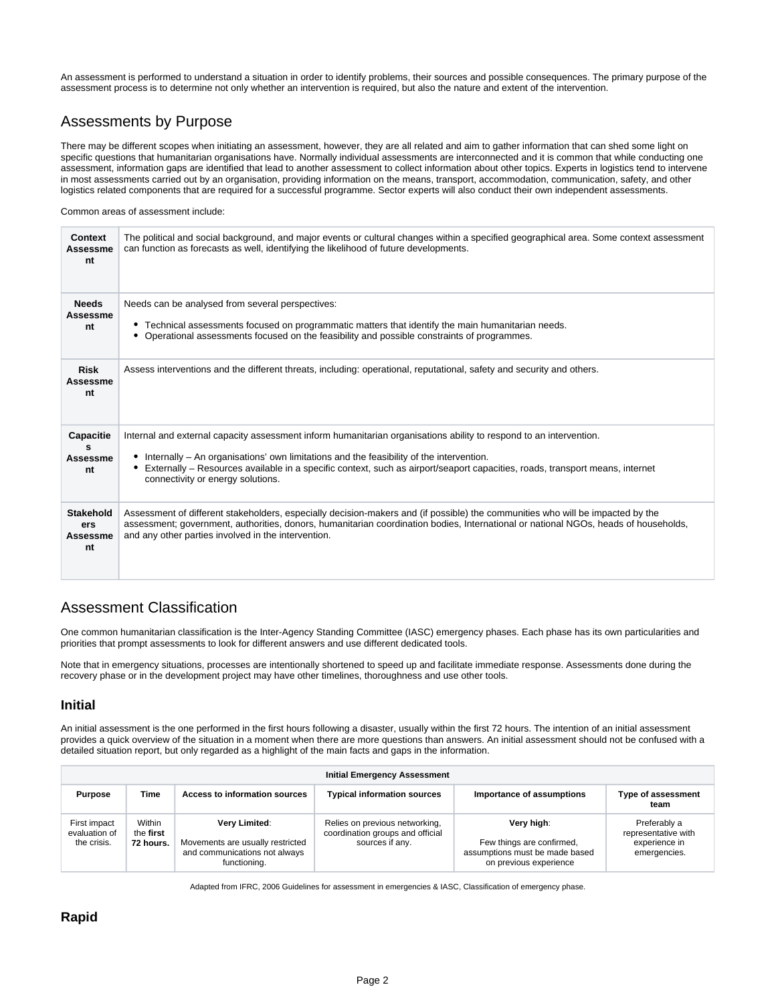An assessment is performed to understand a situation in order to identify problems, their sources and possible consequences. The primary purpose of the assessment process is to determine not only whether an intervention is required, but also the nature and extent of the intervention.

## <span id="page-1-0"></span>Assessments by Purpose

There may be different scopes when initiating an assessment, however, they are all related and aim to gather information that can shed some light on specific questions that humanitarian organisations have. Normally individual assessments are interconnected and it is common that while conducting one assessment, information gaps are identified that lead to another assessment to collect information about other topics. Experts in logistics tend to intervene in most assessments carried out by an organisation, providing information on the means, transport, accommodation, communication, safety, and other logistics related components that are required for a successful programme. Sector experts will also conduct their own independent assessments.

Common areas of assessment include:

| Context<br>Assessme<br>nt                 | The political and social background, and major events or cultural changes within a specified geographical area. Some context assessment<br>can function as forecasts as well, identifying the likelihood of future developments.                                                                                                                                                        |
|-------------------------------------------|-----------------------------------------------------------------------------------------------------------------------------------------------------------------------------------------------------------------------------------------------------------------------------------------------------------------------------------------------------------------------------------------|
| <b>Needs</b><br>Assessme<br>nt            | Needs can be analysed from several perspectives:<br>• Technical assessments focused on programmatic matters that identify the main humanitarian needs.<br>• Operational assessments focused on the feasibility and possible constraints of programmes.                                                                                                                                  |
| <b>Risk</b><br>Assessme<br>nt             | Assess interventions and the different threats, including: operational, reputational, safety and security and others.                                                                                                                                                                                                                                                                   |
| Capacitie<br>s<br>Assessme<br>nt          | Internal and external capacity assessment inform humanitarian organisations ability to respond to an intervention.<br>Internally - An organisations' own limitations and the feasibility of the intervention.<br>٠<br>Externally – Resources available in a specific context, such as airport/seaport capacities, roads, transport means, internet<br>connectivity or energy solutions. |
| <b>Stakehold</b><br>ers<br>Assessme<br>nt | Assessment of different stakeholders, especially decision-makers and (if possible) the communities who will be impacted by the<br>assessment; government, authorities, donors, humanitarian coordination bodies, International or national NGOs, heads of households,<br>and any other parties involved in the intervention.                                                            |

## <span id="page-1-1"></span>Assessment Classification

One common humanitarian classification is the Inter-Agency Standing Committee (IASC) emergency phases. Each phase has its own particularities and priorities that prompt assessments to look for different answers and use different dedicated tools.

Note that in emergency situations, processes are intentionally shortened to speed up and facilitate immediate response. Assessments done during the recovery phase or in the development project may have other timelines, thoroughness and use other tools.

### **Initial**

An initial assessment is the one performed in the first hours following a disaster, usually within the first 72 hours. The intention of an initial assessment provides a quick overview of the situation in a moment when there are more questions than answers. An initial assessment should not be confused with a detailed situation report, but only regarded as a highlight of the main facts and gaps in the information.

|                                              |                                  |                                                                                                    | <b>Initial Emergency Assessment</b>                                                   |                                                                                                     |                                                                      |
|----------------------------------------------|----------------------------------|----------------------------------------------------------------------------------------------------|---------------------------------------------------------------------------------------|-----------------------------------------------------------------------------------------------------|----------------------------------------------------------------------|
| <b>Purpose</b>                               | Time                             | Access to information sources                                                                      | <b>Typical information sources</b>                                                    | Importance of assumptions                                                                           | <b>Type of assessment</b><br>team                                    |
| First impact<br>evaluation of<br>the crisis. | Within<br>the first<br>72 hours. | Very Limited:<br>Movements are usually restricted<br>and communications not always<br>functioning. | Relies on previous networking,<br>coordination groups and official<br>sources if any. | Very high:<br>Few things are confirmed,<br>assumptions must be made based<br>on previous experience | Preferably a<br>representative with<br>experience in<br>emergencies. |

Adapted from IFRC, 2006 Guidelines for assessment in emergencies & IASC, Classification of emergency phase.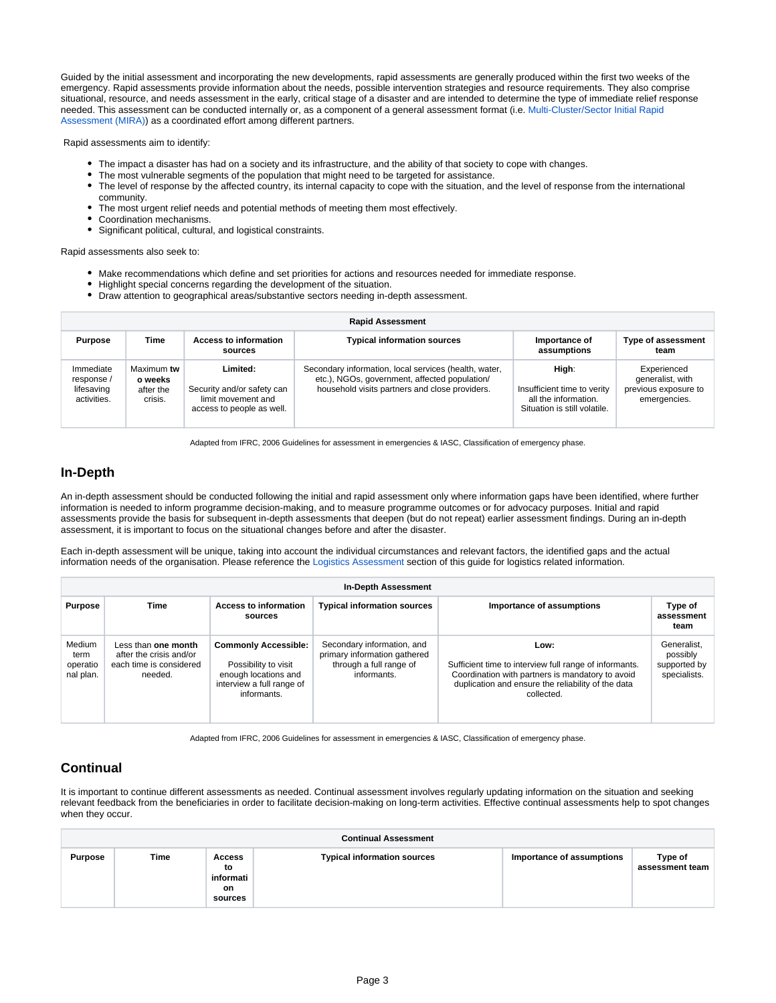Guided by the initial assessment and incorporating the new developments, rapid assessments are generally produced within the first two weeks of the emergency. Rapid assessments provide information about the needs, possible intervention strategies and resource requirements. They also comprise situational, resource, and needs assessment in the early, critical stage of a disaster and are intended to determine the type of immediate relief response needed. This assessment can be conducted internally or, as a component of a general assessment format (i.e. [Multi-Cluster/Sector Initial Rapid](https://interagencystandingcommittee.org/iasc-transformative-agenda/documents-public/multi-clustersector-initial-rapid-assessment-mira-manual)  [Assessment \(MIRA\)\)](https://interagencystandingcommittee.org/iasc-transformative-agenda/documents-public/multi-clustersector-initial-rapid-assessment-mira-manual) as a coordinated effort among different partners.

Rapid assessments aim to identify:

- The impact a disaster has had on a society and its infrastructure, and the ability of that society to cope with changes.
- The most vulnerable segments of the population that might need to be targeted for assistance.
- The level of response by the affected country, its internal capacity to cope with the situation, and the level of response from the international community.
- The most urgent relief needs and potential methods of meeting them most effectively.
- Coordination mechanisms.
- Significant political, cultural, and logistical constraints.

Rapid assessments also seek to:

- Make recommendations which define and set priorities for actions and resources needed for immediate response.
- Highlight special concerns regarding the development of the situation.
- Draw attention to geographical areas/substantive sectors needing in-depth assessment.

|                                                      | <b>Rapid Assessment</b>                       |                                                                                           |                                                                                                                                                          |                                                                                              |                                                                         |  |  |
|------------------------------------------------------|-----------------------------------------------|-------------------------------------------------------------------------------------------|----------------------------------------------------------------------------------------------------------------------------------------------------------|----------------------------------------------------------------------------------------------|-------------------------------------------------------------------------|--|--|
| <b>Purpose</b>                                       | Time                                          | <b>Access to information</b><br>sources                                                   | <b>Typical information sources</b>                                                                                                                       | Importance of<br>assumptions                                                                 | <b>Type of assessment</b><br>team                                       |  |  |
| Immediate<br>response /<br>lifesaving<br>activities. | Maximum tw<br>o weeks<br>after the<br>crisis. | Limited:<br>Security and/or safety can<br>limit movement and<br>access to people as well. | Secondary information, local services (health, water,<br>etc.), NGOs, government, affected population/<br>household visits partners and close providers. | High:<br>Insufficient time to verity<br>all the information.<br>Situation is still volatile. | Experienced<br>generalist, with<br>previous exposure to<br>emergencies. |  |  |

Adapted from IFRC, 2006 Guidelines for assessment in emergencies & IASC, Classification of emergency phase.

### **In-Depth**

An in-depth assessment should be conducted following the initial and rapid assessment only where information gaps have been identified, where further information is needed to inform programme decision-making, and to measure programme outcomes or for advocacy purposes. Initial and rapid assessments provide the basis for subsequent in-depth assessments that deepen (but do not repeat) earlier assessment findings. During an in-depth assessment, it is important to focus on the situational changes before and after the disaster.

Each in-depth assessment will be unique, taking into account the individual circumstances and relevant factors, the identified gaps and the actual information needs of the organisation. Please reference the [Logistics Assessment](https://dlca.logcluster.org/display/LOG/Assessments+and+Planning#AssessmentsandPlanning-LogisticsAssessment) section of this guide for logistics related information.

|                                         |                                                                                      |                                                                                                                         | In-Depth Assessment                                                                                  |                                                                                                                                                                                        |                                                         |
|-----------------------------------------|--------------------------------------------------------------------------------------|-------------------------------------------------------------------------------------------------------------------------|------------------------------------------------------------------------------------------------------|----------------------------------------------------------------------------------------------------------------------------------------------------------------------------------------|---------------------------------------------------------|
| <b>Purpose</b>                          | Time                                                                                 | <b>Access to information</b><br>sources                                                                                 | <b>Typical information sources</b>                                                                   | Importance of assumptions                                                                                                                                                              | Type of<br>assessment<br>team                           |
| Medium<br>term<br>operatio<br>nal plan. | Less than one month<br>after the crisis and/or<br>each time is considered<br>needed. | <b>Commonly Accessible:</b><br>Possibility to visit<br>enough locations and<br>interview a full range of<br>informants. | Secondary information, and<br>primary information gathered<br>through a full range of<br>informants. | Low:<br>Sufficient time to interview full range of informants.<br>Coordination with partners is mandatory to avoid<br>duplication and ensure the reliability of the data<br>collected. | Generalist.<br>possibly<br>supported by<br>specialists. |

Adapted from IFRC, 2006 Guidelines for assessment in emergencies & IASC, Classification of emergency phase.

### **Continual**

It is important to continue different assessments as needed. Continual assessment involves regularly updating information on the situation and seeking relevant feedback from the beneficiaries in order to facilitate decision-making on long-term activities. Effective continual assessments help to spot changes when they occur.

|         |      |                                            | <b>Continual Assessment</b>        |                           |                            |
|---------|------|--------------------------------------------|------------------------------------|---------------------------|----------------------------|
| Purpose | Time | Access<br>to<br>informati<br>on<br>sources | <b>Typical information sources</b> | Importance of assumptions | Type of<br>assessment team |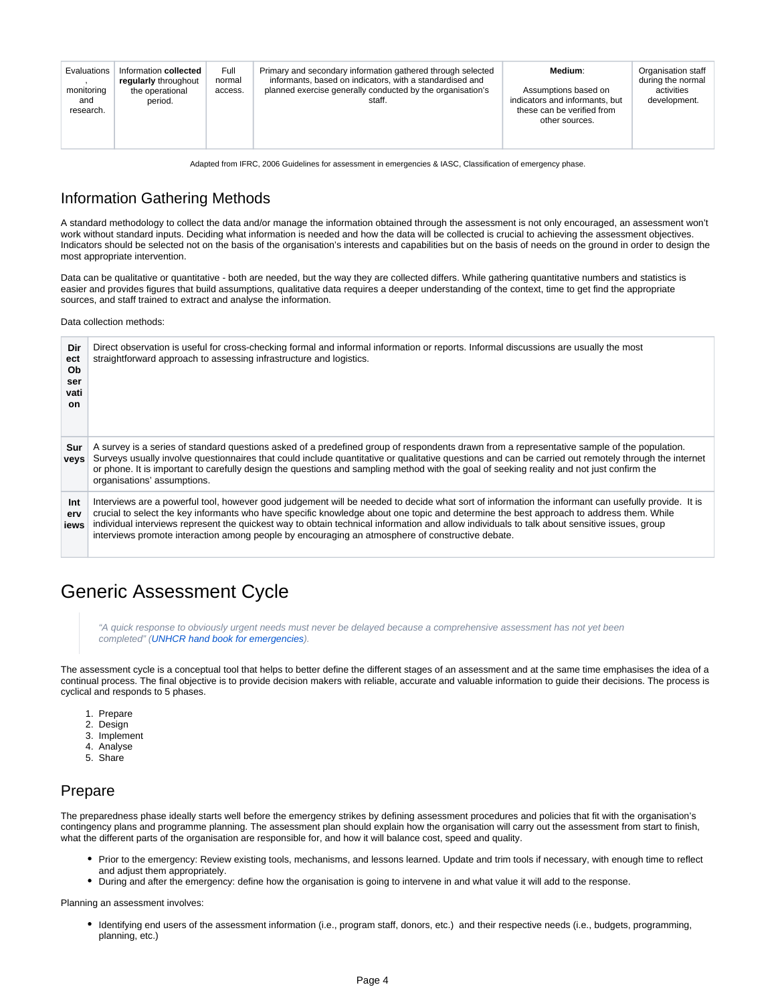| Evaluations<br>monitoring<br>and<br>research. | Information collected<br>regularly throughout<br>the operational<br>period. | Full<br>normal<br>access. | Primary and secondary information gathered through selected<br>informants, based on indicators, with a standardised and<br>planned exercise generally conducted by the organisation's<br>staff. | Medium:<br>Assumptions based on<br>indicators and informants, but<br>these can be verified from<br>other sources. | Organisation staff<br>during the normal<br>activities<br>development. |
|-----------------------------------------------|-----------------------------------------------------------------------------|---------------------------|-------------------------------------------------------------------------------------------------------------------------------------------------------------------------------------------------|-------------------------------------------------------------------------------------------------------------------|-----------------------------------------------------------------------|
|-----------------------------------------------|-----------------------------------------------------------------------------|---------------------------|-------------------------------------------------------------------------------------------------------------------------------------------------------------------------------------------------|-------------------------------------------------------------------------------------------------------------------|-----------------------------------------------------------------------|

Adapted from IFRC, 2006 Guidelines for assessment in emergencies & IASC, Classification of emergency phase.

## <span id="page-3-0"></span>Information Gathering Methods

A standard methodology to collect the data and/or manage the information obtained through the assessment is not only encouraged, an assessment won't work without standard inputs. Deciding what information is needed and how the data will be collected is crucial to achieving the assessment objectives. Indicators should be selected not on the basis of the organisation's interests and capabilities but on the basis of needs on the ground in order to design the most appropriate intervention.

Data can be qualitative or quantitative - both are needed, but the way they are collected differs. While gathering quantitative numbers and statistics is easier and provides figures that build assumptions, qualitative data requires a deeper understanding of the context, time to get find the appropriate sources, and staff trained to extract and analyse the information.

Data collection methods:

| Dir<br>ect<br>Ob<br>ser<br>vati<br>on. | Direct observation is useful for cross-checking formal and informal information or reports. Informal discussions are usually the most<br>straightforward approach to assessing infrastructure and logistics.                                                                                                                                                                                                                                                                                                                                      |
|----------------------------------------|---------------------------------------------------------------------------------------------------------------------------------------------------------------------------------------------------------------------------------------------------------------------------------------------------------------------------------------------------------------------------------------------------------------------------------------------------------------------------------------------------------------------------------------------------|
| Sur<br>vevs                            | A survey is a series of standard questions asked of a predefined group of respondents drawn from a representative sample of the population.<br>Surveys usually involve questionnaires that could include quantitative or qualitative questions and can be carried out remotely through the internet<br>or phone. It is important to carefully design the questions and sampling method with the goal of seeking reality and not just confirm the<br>organisations' assumptions.                                                                   |
| Int<br>erv<br><b>iews</b>              | Interviews are a powerful tool, however good judgement will be needed to decide what sort of information the informant can usefully provide. It is<br>crucial to select the key informants who have specific knowledge about one topic and determine the best approach to address them. While<br>individual interviews represent the quickest way to obtain technical information and allow individuals to talk about sensitive issues, group<br>interviews promote interaction among people by encouraging an atmosphere of constructive debate. |

# <span id="page-3-1"></span>Generic Assessment Cycle

"A quick response to obviously urgent needs must never be delayed because a comprehensive assessment has not yet been completed" ([UNHCR hand book for emergencies\)](http://www.unhcr.org/publ/PUBL/471db4c92.html).

The assessment cycle is a conceptual tool that helps to better define the different stages of an assessment and at the same time emphasises the idea of a continual process. The final objective is to provide decision makers with reliable, accurate and valuable information to guide their decisions. The process is cyclical and responds to 5 phases.

- 1. Prepare
- 2. Design
- 3. Implement
- 4. Analyse
- 5. Share

### <span id="page-3-2"></span>Prepare

The preparedness phase ideally starts well before the emergency strikes by defining assessment procedures and policies that fit with the organisation's contingency plans and programme planning. The assessment plan should explain how the organisation will carry out the assessment from start to finish, what the different parts of the organisation are responsible for, and how it will balance cost, speed and quality.

- Prior to the emergency: Review existing tools, mechanisms, and lessons learned. Update and trim tools if necessary, with enough time to reflect and adjust them appropriately.
- During and after the emergency: define how the organisation is going to intervene in and what value it will add to the response.

Planning an assessment involves:

Identifying end users of the assessment information (i.e., program staff, donors, etc.) and their respective needs (i.e., budgets, programming, planning, etc.)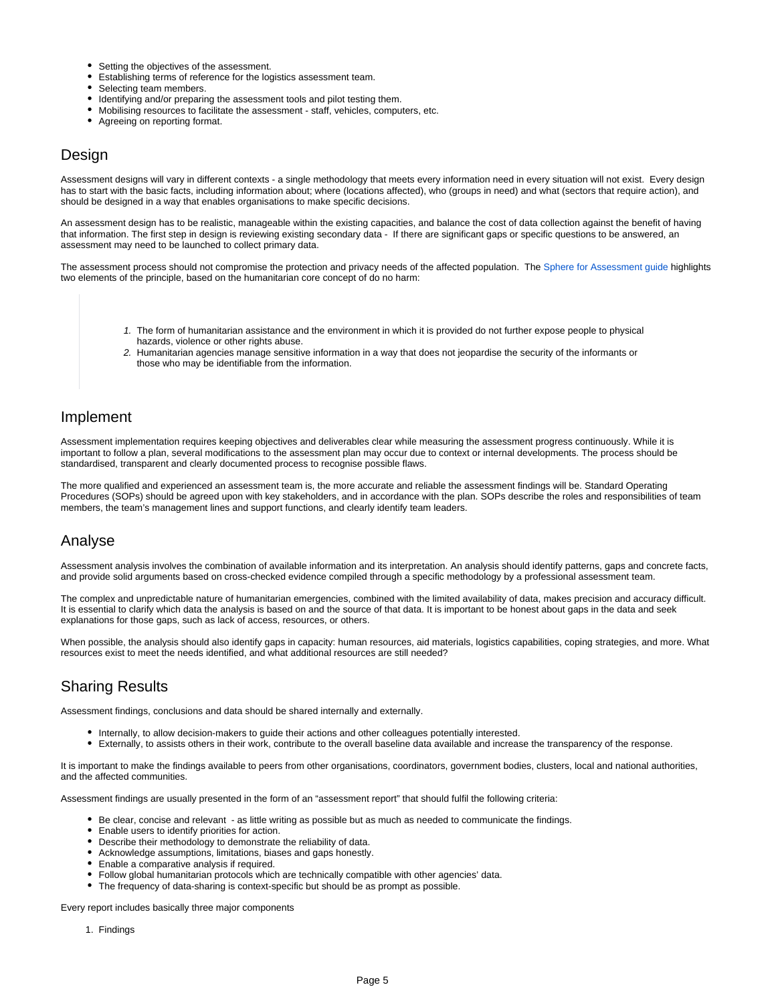- Setting the objectives of the assessment.
- Establishing terms of reference for the logistics assessment team.
- Selecting team members.
- Identifying and/or preparing the assessment tools and pilot testing them.
- Mobilising resources to facilitate the assessment staff, vehicles, computers, etc.
- Agreeing on reporting format.

## <span id="page-4-0"></span>**Design**

Assessment designs will vary in different contexts - a single methodology that meets every information need in every situation will not exist. Every design has to start with the basic facts, including information about; where (locations affected), who (groups in need) and what (sectors that require action), and should be designed in a way that enables organisations to make specific decisions.

An assessment design has to be realistic, manageable within the existing capacities, and balance the cost of data collection against the benefit of having that information. The first step in design is reviewing existing secondary data - If there are significant gaps or specific questions to be answered, an assessment may need to be launched to collect primary data.

The assessment process should not compromise the protection and privacy needs of the affected population. The [Sphere for Assessment guide h](https://dlca.logcluster.org/download/attachments/60785446/sphere-for-assessments.pdf?version=1&modificationDate=1623158602000&api=v2)ighlights two elements of the principle, based on the humanitarian core concept of do no harm:

- 1. The form of humanitarian assistance and the environment in which it is provided do not further expose people to physical hazards, violence or other rights abuse.
- 2. Humanitarian agencies manage sensitive information in a way that does not jeopardise the security of the informants or those who may be identifiable from the information.

### <span id="page-4-1"></span>Implement

Assessment implementation requires keeping objectives and deliverables clear while measuring the assessment progress continuously. While it is important to follow a plan, several modifications to the assessment plan may occur due to context or internal developments. The process should be standardised, transparent and clearly documented process to recognise possible flaws.

The more qualified and experienced an assessment team is, the more accurate and reliable the assessment findings will be. Standard Operating Procedures (SOPs) should be agreed upon with key stakeholders, and in accordance with the plan. SOPs describe the roles and responsibilities of team members, the team's management lines and support functions, and clearly identify team leaders.

### <span id="page-4-2"></span>Analyse

Assessment analysis involves the combination of available information and its interpretation. An analysis should identify patterns, gaps and concrete facts, and provide solid arguments based on cross-checked evidence compiled through a specific methodology by a professional assessment team.

The complex and unpredictable nature of humanitarian emergencies, combined with the limited availability of data, makes precision and accuracy difficult. It is essential to clarify which data the analysis is based on and the source of that data. It is important to be honest about gaps in the data and seek explanations for those gaps, such as lack of access, resources, or others.

When possible, the analysis should also identify gaps in capacity: human resources, aid materials, logistics capabilities, coping strategies, and more. What resources exist to meet the needs identified, and what additional resources are still needed?

## <span id="page-4-3"></span>Sharing Results

Assessment findings, conclusions and data should be shared internally and externally.

- Internally, to allow decision-makers to guide their actions and other colleagues potentially interested.
- Externally, to assists others in their work, contribute to the overall baseline data available and increase the transparency of the response.

It is important to make the findings available to peers from other organisations, coordinators, government bodies, clusters, local and national authorities, and the affected communities.

Assessment findings are usually presented in the form of an "assessment report" that should fulfil the following criteria:

- Be clear, concise and relevant as little writing as possible but as much as needed to communicate the findings.
- Enable users to identify priorities for action.
- Describe their methodology to demonstrate the reliability of data.
- Acknowledge assumptions, limitations, biases and gaps honestly.
- Enable a comparative analysis if required.
- Follow global humanitarian protocols which are technically compatible with other agencies' data.
- The frequency of data-sharing is context-specific but should be as prompt as possible.

Every report includes basically three major components

1. Findings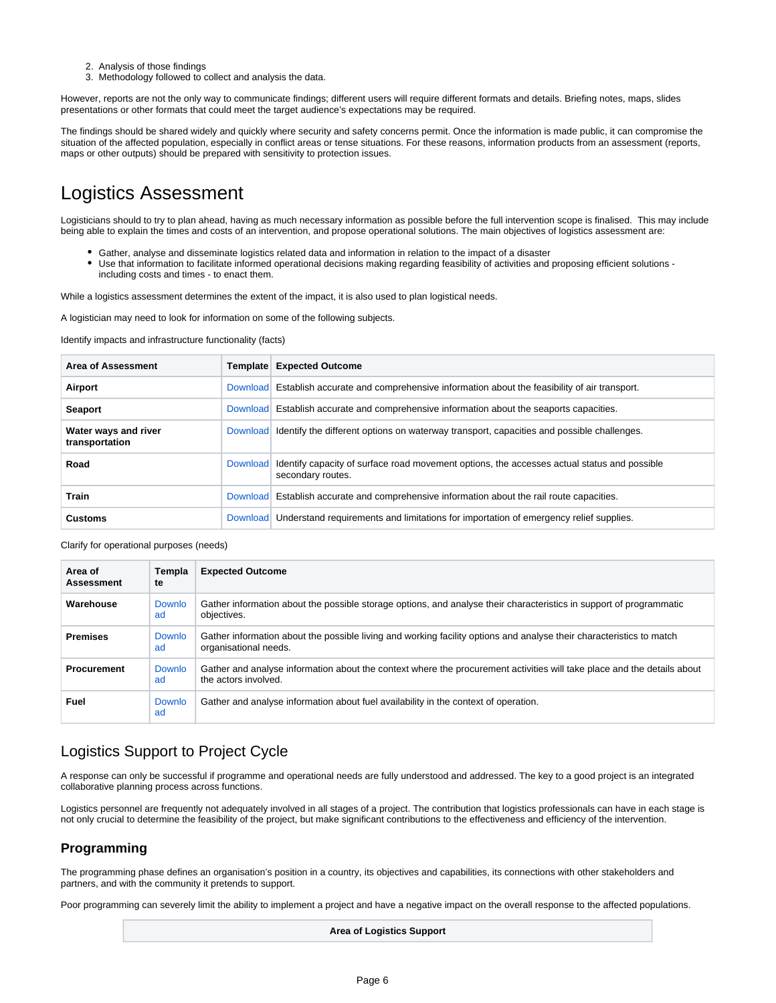- 2. Analysis of those findings
- 3. Methodology followed to collect and analysis the data.

However, reports are not the only way to communicate findings; different users will require different formats and details. Briefing notes, maps, slides presentations or other formats that could meet the target audience's expectations may be required.

The findings should be shared widely and quickly where security and safety concerns permit. Once the information is made public, it can compromise the situation of the affected population, especially in conflict areas or tense situations. For these reasons, information products from an assessment (reports, maps or other outputs) should be prepared with sensitivity to protection issues.

# <span id="page-5-0"></span>Logistics Assessment

Logisticians should to try to plan ahead, having as much necessary information as possible before the full intervention scope is finalised. This may include being able to explain the times and costs of an intervention, and propose operational solutions. The main objectives of logistics assessment are:

- Gather, analyse and disseminate logistics related data and information in relation to the impact of a disaster
- Use that information to facilitate informed operational decisions making regarding feasibility of activities and proposing efficient solutions including costs and times - to enact them.

While a logistics assessment determines the extent of the impact, it is also used to plan logistical needs.

A logistician may need to look for information on some of the following subjects.

Identify impacts and infrastructure functionality (facts)

| Area of Assessment                     | Template        | <b>Expected Outcome</b>                                                                                          |
|----------------------------------------|-----------------|------------------------------------------------------------------------------------------------------------------|
| Airport                                | Download        | Establish accurate and comprehensive information about the feasibility of air transport.                         |
| <b>Seaport</b>                         |                 | Download Establish accurate and comprehensive information about the seaports capacities.                         |
| Water ways and river<br>transportation | Download        | Identify the different options on waterway transport, capacities and possible challenges.                        |
| Road                                   | <b>Download</b> | Identify capacity of surface road movement options, the accesses actual status and possible<br>secondary routes. |
| Train                                  | Download        | Establish accurate and comprehensive information about the rail route capacities.                                |
| <b>Customs</b>                         | Download        | Understand requirements and limitations for importation of emergency relief supplies.                            |

Clarify for operational purposes (needs)

| Area of<br><b>Assessment</b> | Templa<br>te | <b>Expected Outcome</b>                                                                                                                         |
|------------------------------|--------------|-------------------------------------------------------------------------------------------------------------------------------------------------|
| Warehouse                    | Downlo<br>ad | Gather information about the possible storage options, and analyse their characteristics in support of programmatic<br>objectives.              |
| <b>Premises</b>              | Downlo<br>ad | Gather information about the possible living and working facility options and analyse their characteristics to match<br>organisational needs.   |
| <b>Procurement</b>           | Downlo<br>ad | Gather and analyse information about the context where the procurement activities will take place and the details about<br>the actors involved. |
| Fuel                         | Downlo<br>ad | Gather and analyse information about fuel availability in the context of operation.                                                             |

## <span id="page-5-1"></span>Logistics Support to Project Cycle

A response can only be successful if programme and operational needs are fully understood and addressed. The key to a good project is an integrated collaborative planning process across functions.

Logistics personnel are frequently not adequately involved in all stages of a project. The contribution that logistics professionals can have in each stage is not only crucial to determine the feasibility of the project, but make significant contributions to the effectiveness and efficiency of the intervention.

### **Programming**

The programming phase defines an organisation's position in a country, its objectives and capabilities, its connections with other stakeholders and partners, and with the community it pretends to support.

Poor programming can severely limit the ability to implement a project and have a negative impact on the overall response to the affected populations.

**Area of Logistics Support**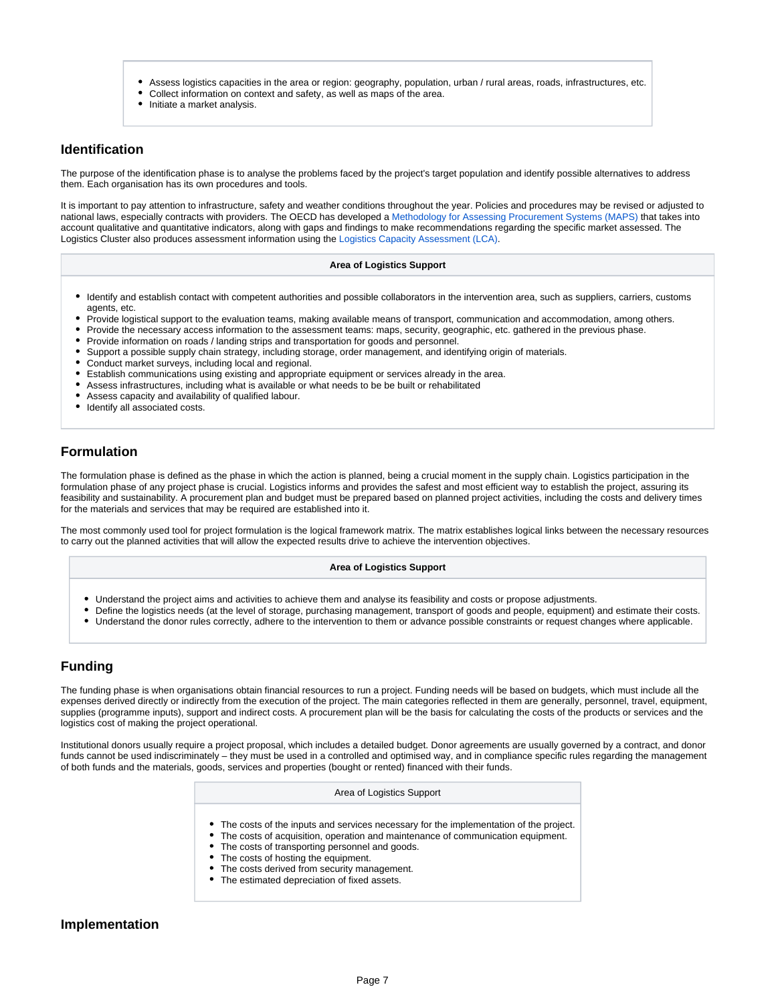- Assess logistics capacities in the area or region: geography, population, urban / rural areas, roads, infrastructures, etc.
- Collect information on context and safety, as well as maps of the area.
- Initiate a market analysis.

#### **Identification**

The purpose of the identification phase is to analyse the problems faced by the project's target population and identify possible alternatives to address them. Each organisation has its own procedures and tools.

It is important to pay attention to infrastructure, safety and weather conditions throughout the year. Policies and procedures may be revised or adjusted to national laws, especially contracts with providers. The OECD has developed a [Methodology for Assessing Procurement Systems \(MAPS\)](https://www.unicef.org/supply/media/4966/file/VC-tool-Procurement-Assessments-OECD.pdf) that takes into account qualitative and quantitative indicators, along with gaps and findings to make recommendations regarding the specific market assessed. The Logistics Cluster also produces assessment information using the [Logistics Capacity Assessment \(LCA\).](https://dlca.logcluster.org/display/public/DLCA/LCA+Homepage)

#### **Area of Logistics Support**

- Identify and establish contact with competent authorities and possible collaborators in the intervention area, such as suppliers, carriers, customs agents, etc.
- Provide logistical support to the evaluation teams, making available means of transport, communication and accommodation, among others.
- Provide the necessary access information to the assessment teams: maps, security, geographic, etc. gathered in the previous phase.
- Provide information on roads / landing strips and transportation for goods and personnel.
- Support a possible supply chain strategy, including storage, order management, and identifying origin of materials.
- Conduct market surveys, including local and regional.
- Establish communications using existing and appropriate equipment or services already in the area.
- Assess infrastructures, including what is available or what needs to be be built or rehabilitated
- Assess capacity and availability of qualified labour.
- Identify all associated costs.

### **Formulation**

The formulation phase is defined as the phase in which the action is planned, being a crucial moment in the supply chain. Logistics participation in the formulation phase of any project phase is crucial. Logistics informs and provides the safest and most efficient way to establish the project, assuring its feasibility and sustainability. A procurement plan and budget must be prepared based on planned project activities, including the costs and delivery times for the materials and services that may be required are established into it.

The most commonly used tool for project formulation is the logical framework matrix. The matrix establishes logical links between the necessary resources to carry out the planned activities that will allow the expected results drive to achieve the intervention objectives.

#### **Area of Logistics Support**

- Understand the project aims and activities to achieve them and analyse its feasibility and costs or propose adjustments.
- Define the logistics needs (at the level of storage, purchasing management, transport of goods and people, equipment) and estimate their costs.
- Understand the donor rules correctly, adhere to the intervention to them or advance possible constraints or request changes where applicable.

#### **Funding**

The funding phase is when organisations obtain financial resources to run a project. Funding needs will be based on budgets, which must include all the expenses derived directly or indirectly from the execution of the project. The main categories reflected in them are generally, personnel, travel, equipment, supplies (programme inputs), support and indirect costs. A procurement plan will be the basis for calculating the costs of the products or services and the logistics cost of making the project operational.

Institutional donors usually require a project proposal, which includes a detailed budget. Donor agreements are usually governed by a contract, and donor funds cannot be used indiscriminately – they must be used in a controlled and optimised way, and in compliance specific rules regarding the management of both funds and the materials, goods, services and properties (bought or rented) financed with their funds.

#### Area of Logistics Support

- The costs of the inputs and services necessary for the implementation of the project.
- The costs of acquisition, operation and maintenance of communication equipment.
- The costs of transporting personnel and goods.
- $\bullet$ The costs of hosting the equipment.
- The costs derived from security management.
- The estimated depreciation of fixed assets.

#### **Implementation**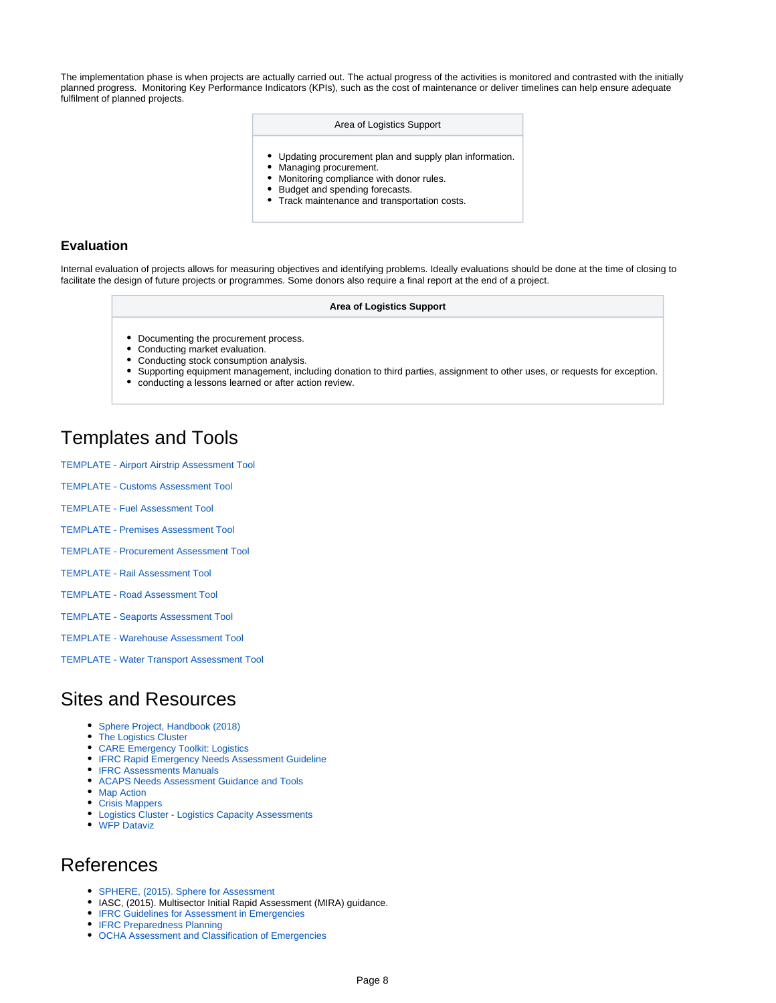The implementation phase is when projects are actually carried out. The actual progress of the activities is monitored and contrasted with the initially planned progress. Monitoring Key Performance Indicators (KPIs), such as the cost of maintenance or deliver timelines can help ensure adequate fulfilment of planned projects.

#### Area of Logistics Support

- Updating procurement plan and supply plan information.
- Managing procurement.
- Monitoring compliance with donor rules. Budget and spending forecasts.
- Track maintenance and transportation costs.

#### **Evaluation**

Internal evaluation of projects allows for measuring objectives and identifying problems. Ideally evaluations should be done at the time of closing to facilitate the design of future projects or programmes. Some donors also require a final report at the end of a project.

#### **Area of Logistics Support**

- Documenting the procurement process.
- Conducting market evaluation.
- Conducting stock consumption analysis.
- Supporting equipment management, including donation to third parties, assignment to other uses, or requests for exception.
- $\bullet$ conducting a lessons learned or after action review.

# <span id="page-7-0"></span>Templates and Tools

- [TEMPLATE Airport Airstrip Assessment Tool](https://dlca.logcluster.org/download/attachments/60785446/TEMPLATE%20-%20Airport%20Airstrip%20Assessment%20Tool.docx?version=1&modificationDate=1624270856000&api=v2)
- [TEMPLATE Customs Assessment Tool](https://dlca.logcluster.org/download/attachments/60785446/TEMPLATE%20-%20Customs%20Assessment%20Tool.docx?version=1&modificationDate=1624270856000&api=v2)
- [TEMPLATE Fuel Assessment Tool](https://dlca.logcluster.org/download/attachments/60785446/TEMPLATE%20-%20Fuel%20Assessment%20Tool.docx?version=1&modificationDate=1624270856000&api=v2)
- [TEMPLATE Premises Assessment Tool](https://dlca.logcluster.org/download/attachments/60785446/TEMPLATE%20-%20Premises%20Assessment%20Tool.docx?version=1&modificationDate=1624270856000&api=v2)
- [TEMPLATE Procurement Assessment Tool](https://dlca.logcluster.org/download/attachments/60785446/TEMPLATE%20-%20Procurement%20Assessment%20Tool.docx?version=1&modificationDate=1624270856000&api=v2)
- [TEMPLATE Rail Assessment Tool](https://dlca.logcluster.org/download/attachments/60785446/TEMPLATE%20-%20Rail%20Assessment%20Tool.docx?version=1&modificationDate=1624270856000&api=v2)
- [TEMPLATE Road Assessment Tool](https://dlca.logcluster.org/download/attachments/60785446/TEMPLATE%20-%20Road%20Assessment%20Tool.docx?version=1&modificationDate=1624270857000&api=v2)
- [TEMPLATE Seaports Assessment Tool](https://dlca.logcluster.org/download/attachments/60785446/TEMPLATE%20-%20Seaports%20Assessment%20Tool.docx?version=1&modificationDate=1624270857000&api=v2)
- [TEMPLATE Warehouse Assessment Tool](https://dlca.logcluster.org/download/attachments/60785446/TEMPLATE%20-%20Warehouse%20Assessment%20Tool.docx?version=1&modificationDate=1624270857000&api=v2)
- [TEMPLATE Water Transport Assessment Tool](https://dlca.logcluster.org/download/attachments/60785446/TEMPLATE%20-%20Water%20Transport%20Assessment%20Tool.docx?version=1&modificationDate=1624270857000&api=v2)

# <span id="page-7-1"></span>Sites and Resources

- [Sphere Project, Handbook \(2018\)](https://spherestandards.org/handbook/editions/)
- [The Logistics Cluster](http://www.logcluster.org)
- [CARE Emergency Toolkit: Logistics](https://www.careemergencytoolkit.org/programme-support/15-logistics/)
- **[IFRC Rapid Emergency Needs Assessment Guideline](https://www.ifrc.org/PageFiles/95882/C.02.05.%20Emergency%20Rapid%20Needs%20Assessment%20Guidelines_DER.pdf)**
- **[IFRC Assessments Manuals](https://www.ifrc.org/en/what-we-do/disaster-management/responding/services-for-the-disaster-affected/shelter-and-settlement/shelter-library/manuals/)**
- [ACAPS Needs Assessment Guidance and Tools](https://www.acaps.org/methodology/needs-assessments)
- [Map Action](https://mapaction.org/)
- [Crisis Mappers](http://crisismapping.ning.com/)
- [Logistics Cluster Logistics Capacity Assessments](https://dlca.logcluster.org/display/public/DLCA/LCA+Homepage)
- [WFP Dataviz](https://dataviz.vam.wfp.org/)

# <span id="page-7-2"></span>References

- [SPHERE, \(2015\). Sphere for Assessment](https://spherestandards.org/unpacking-sphere-sphere-for-assessments-is-out/)
- IASC, (2015). Multisector Initial Rapid Assessment (MIRA) guidance.
- **[IFRC Guidelines for Assessment in Emergencies](https://www.ifrc.org/Global/Publications/disasters/guidelines/guidelines-for-emergency-en.pdf)**
- **[IFRC Preparedness Planning](https://www.ifrc.org/Global/Preplan.pdf)**
- [OCHA Assessment and Classification of Emergencies](https://www.ifrc.org/PageFiles/95882/C.02.12.%20Final%20Mapping%20of%20key%20emergency%20needs%20Assessment%20and%20analysis_initiative_OCHA.pdf)